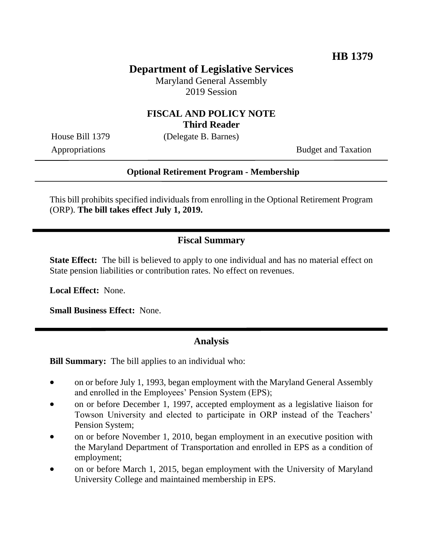# **Department of Legislative Services**

Maryland General Assembly 2019 Session

#### **FISCAL AND POLICY NOTE Third Reader**

House Bill 1379 (Delegate B. Barnes)

Appropriations Budget and Taxation

#### **Optional Retirement Program - Membership**

This bill prohibits specified individuals from enrolling in the Optional Retirement Program (ORP). **The bill takes effect July 1, 2019.** 

### **Fiscal Summary**

**State Effect:** The bill is believed to apply to one individual and has no material effect on State pension liabilities or contribution rates. No effect on revenues.

**Local Effect:** None.

**Small Business Effect:** None.

### **Analysis**

**Bill Summary:** The bill applies to an individual who:

- on or before July 1, 1993, began employment with the Maryland General Assembly and enrolled in the Employees' Pension System (EPS);
- on or before December 1, 1997, accepted employment as a legislative liaison for Towson University and elected to participate in ORP instead of the Teachers' Pension System;
- on or before November 1, 2010, began employment in an executive position with the Maryland Department of Transportation and enrolled in EPS as a condition of employment;
- on or before March 1, 2015, began employment with the University of Maryland University College and maintained membership in EPS.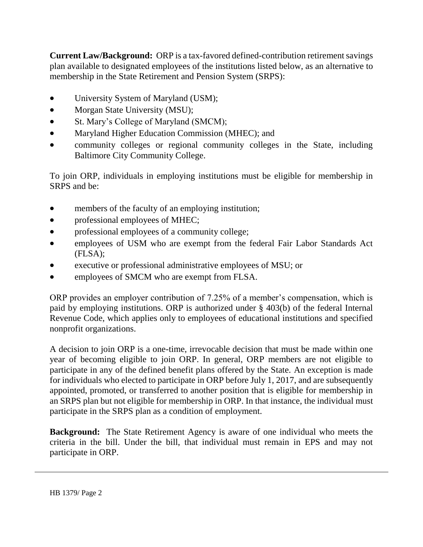**Current Law/Background:** ORP is a tax-favored defined-contribution retirement savings plan available to designated employees of the institutions listed below, as an alternative to membership in the State Retirement and Pension System (SRPS):

- University System of Maryland (USM);
- Morgan State University (MSU);
- St. Mary's College of Maryland (SMCM);
- Maryland Higher Education Commission (MHEC); and
- community colleges or regional community colleges in the State, including Baltimore City Community College.

To join ORP, individuals in employing institutions must be eligible for membership in SRPS and be:

- members of the faculty of an employing institution;
- professional employees of MHEC;
- professional employees of a community college;
- employees of USM who are exempt from the federal Fair Labor Standards Act (FLSA);
- executive or professional administrative employees of MSU; or
- employees of SMCM who are exempt from FLSA.

ORP provides an employer contribution of 7.25% of a member's compensation, which is paid by employing institutions. ORP is authorized under § 403(b) of the federal Internal Revenue Code, which applies only to employees of educational institutions and specified nonprofit organizations.

A decision to join ORP is a one-time, irrevocable decision that must be made within one year of becoming eligible to join ORP. In general, ORP members are not eligible to participate in any of the defined benefit plans offered by the State. An exception is made for individuals who elected to participate in ORP before July 1, 2017, and are subsequently appointed, promoted, or transferred to another position that is eligible for membership in an SRPS plan but not eligible for membership in ORP. In that instance, the individual must participate in the SRPS plan as a condition of employment.

**Background:** The State Retirement Agency is aware of one individual who meets the criteria in the bill. Under the bill, that individual must remain in EPS and may not participate in ORP.